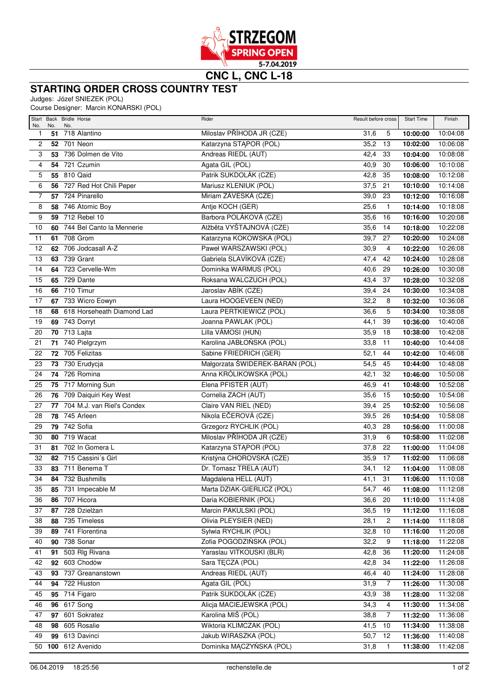

## **STARTING ORDER CROSS COUNTRY TEST**

Judges: Józef SNIEZEK (POL)

Course Designer: Marcin KONARSKI (POL)

| No.                     | No.      | Start Back Bridle Horse<br>No. | Rider                                          | Result before cross     | <b>Start Time</b>    | Finish               |
|-------------------------|----------|--------------------------------|------------------------------------------------|-------------------------|----------------------|----------------------|
| 1                       | 51       | 718 Alantino                   | Miloslav PŘÍHODA JR (CZE)                      | 31,6<br>5               | 10:00:00             | 10:04:08             |
| $\overline{\mathbf{c}}$ |          | <b>52</b> 701 Neon             | Katarzyna STĄPOR (POL)                         | 35,2<br>13              | 10:02:00             | 10:06:08             |
| 3                       | 53       | 736 Dolmen de Vito             | Andreas RIEDL (AUT)                            | 42,4<br>33              | 10:04:00             | 10:08:08             |
| 4                       |          | <b>54 721 Czumin</b>           | Agata GIL (POL)                                | 40,9<br>30              | 10:06:00             | 10:10:08             |
| 5                       |          | 55 810 Qaid                    | Patrik SUKDOLÁK (CZE)                          | 42,8<br>35              | 10:08:00             | 10:12:08             |
| 6                       |          | 56 727 Red Hot Chili Peper     | Mariusz KLENIUK (POL)                          | 37,5<br>21              | 10:10:00             | 10:14:08             |
| $\overline{7}$          |          | 57 724 Pinarello               | Miriam ZÁVESKÁ (CZE)                           | 23<br>39,0              | 10:12:00             | 10:16:08             |
| 8                       |          | 58 746 Atomic Boy              | Antje KOCH (GER)                               | 25,6<br>$\mathbf{1}$    | 10:14:00             | 10:18:08             |
| 9                       |          | 59 712 Rebel 10                | Barbora POLÁKOVÁ (CZE)                         | 35,6<br>16              | 10:16:00             | 10:20:08             |
| 10                      | 60       | 744 Bel Canto la Mennerie      | Alžběta VYŠTAJNOVÁ (CZE)                       | 35,6<br>14              | 10:18:00             | 10:22:08             |
| 11                      |          | 61 708 Grom                    | Katarzyna KOKOWSKA (POL)                       | 39,7<br>27              | 10:20:00             | 10:24:08             |
| 12                      | 62       | 706 Jodcasall A-Z              | Paweł WARSZAWSKI (POL)                         | 30,9<br>4               | 10:22:00             | 10:26:08             |
| 13                      |          | 63 739 Grant                   | Gabriela SLAVÍKOVÁ (CZE)                       | 47,4<br>42              | 10:24:00             | 10:28:08             |
| 14                      |          | 64 723 Cervelle-Wm             | Dominika WARMUS (POL)                          | 40,6<br>29              | 10:26:00             | 10:30:08             |
| 15                      |          | <b>65</b> 729 Dante            | Roksana WALCZUCH (POL)                         | 37<br>43,4              | 10:28:00             | 10:32:08             |
| 16                      |          | 66 710 Timur                   | Jaroslav ABÍK (CZE)                            | 39,4<br>24              | 10:30:00             | 10:34:08             |
| $\overline{17}$         |          | 67 733 Wicro Eowyn             | Laura HOOGEVEEN (NED)                          | 32,2<br>8               | 10:32:00             | 10:36:08             |
| 18                      |          | 68 618 Horseheath Diamond Lad  | Laura PERTKIEWICZ (POL)                        | 36,6<br>5               | 10:34:00             | 10:38:08             |
| 19                      |          | <b>69 743 Dorryt</b>           | Joanna PAWLAK (POL)                            | 44,1<br>39              | 10:36:00             | 10:40:08             |
| 20                      |          | 70 713 Lajta                   | Lilla VÁMOSI (HUN)                             | 35,9<br>18              | 10:38:00             | 10:42:08             |
| 21                      |          | 71 740 Pielgrzym               | Karolina JABŁOŃSKA (POL)                       | 33,8<br>11              | 10:40:00             | 10:44:08             |
| 22                      |          | 72 705 Felizitas               | Sabine FRIEDRICH (GER)                         | 44<br>52,1              | 10:42:00             | 10:46:08             |
| 23                      |          | 73 730 Erudycja                | Małgorzata ŚWIDEREK-BARAN (POL)                | 54,5<br>45              | 10:44:00             | 10:48:08             |
| 24                      |          | <b>74 726 Romina</b>           | Anna KRÓLIKOWSKA (POL)                         | 32<br>42,1              | 10:46:00             | 10:50:08             |
| 25                      |          | 75 717 Morning Sun             | Elena PFISTER (AUT)                            | 46,9<br>41              | 10:48:00             | 10:52:08             |
| 26                      |          | 76 709 Daiquiri Key West       | Cornelia ZACH (AUT)                            | 35,6<br>15              | 10:50:00             | 10:54:08             |
| 27                      |          | 77 704 M.J. van Riel's Condex  | Claire VAN RIEL (NED)                          | 39,4<br>25              | 10:52:00             | 10:56:08             |
| 28                      | 78       | 745 Arleen                     | Nikola EČEROVÁ (CZE)                           | 39,5<br>26              | 10:54:00             | 10:58:08             |
| 29                      | 79       | 742 Sofia                      | Grzegorz RYCHLIK (POL)                         | 28<br>40,3              | 10:56:00             | 11:00:08             |
| 30                      | 80       | 719 Wacat                      | Miloslav PŘÍHODA JR (CZE)                      | 31,9<br>6               | 10:58:00             | 11:02:08             |
| 31                      |          | 81 702 In Gomera L             | Katarzyna STĄPOR (POL)                         | 37,8<br>22              | 11:00:00             | 11:04:08             |
| 32                      |          | 82 715 Cassini's Girl          | Kristýna CHOROVSKÁ (CZE)                       | 17<br>35,9              | 11:02:00             | 11:06:08             |
| 33                      |          | 83 711 Benema T                | Dr. Tomasz TRELA (AUT)                         | 34,1<br>12              | 11:04:00             | 11:08:08             |
| 34                      |          | 84 732 Bushmills               | Magdalena HELL (AUT)                           | 41,1<br>31              | 11:06:00             | 11:10:08             |
| 35                      |          | 85 731 Impecable M             | Marta DZIAK-GIERLICZ (POL)                     | 54,7<br>46              | 11:08:00             | 11:12:08             |
| 36                      | 86       | 707 Hicora                     | Daria KOBIERNIK (POL)                          | 36,6<br>20              | 11:10:00             | 11:14:08             |
| 37                      | 87       | 728 Dzielżan                   | Marcin PAKULSKI (POL)<br>Olivia PLEYSIER (NED) | 36,5<br>19              | 11:12:00             | 11:16:08             |
| 38<br>39                | 88       | 735 Timeless<br>741 Florentina | Sylwia RYCHLIK (POL)                           | 28,1<br>2<br>32,8<br>10 | 11:14:00             | 11:18:08             |
| 40                      | 89<br>90 | 738 Sonar                      | Zofia POGODZIŃSKA (POL)                        | 32,2<br>9               | 11:16:00<br>11:18:00 | 11:20:08<br>11:22:08 |
| 41                      | 91       | 503 Rlg Rivana                 | Yaraslau VITKOUSKI (BLR)                       | 42,8<br>36              | 11:20:00             | 11:24:08             |
| 42                      | 92       | 603 Chodów                     | Sara TĘCZA (POL)                               | 42,8<br>34              | 11:22:00             | 11:26:08             |
| 43                      |          | 93 737 Greananstown            | Andreas RIEDL (AUT)                            | 46,4<br>40              | 11:24:00             | 11:28:08             |
| 44                      |          | <b>94</b> 722 Hiuston          | Agata GIL (POL)                                | 31,9<br>$\overline{7}$  | 11:26:00             | 11:30:08             |
| 45                      |          | 95 714 Figaro                  | Patrik SUKDOLÁK (CZE)                          | 43,9<br>38              | 11:28:00             | 11:32:08             |
| 46                      | 96       | 617 Song                       | Alicja MACIEJEWSKA (POL)                       | 34,3<br>4               | 11:30:00             | 11:34:08             |
| 47                      | 97       | 601 Sokratez                   | Karolina MIŚ (POL)                             | 38,8<br>7               | 11:32:00             | 11:36:08             |
| 48                      | 98       | 605 Rosalie                    | Wiktoria KLIMCZAK (POL)                        | 41,5<br>10              | 11:34:00             | 11:38:08             |
| 49                      | 99       | 613 Davinci                    | Jakub WIRASZKA (POL)                           | 50,7<br>12              | 11:36:00             | 11:40:08             |
|                         |          | 50 100 612 Avenido             | Dominika MĄCZYŃSKA (POL)                       | 31,8<br>$\mathbf{1}$    | 11:38:00             | 11:42:08             |
|                         |          |                                |                                                |                         |                      |                      |